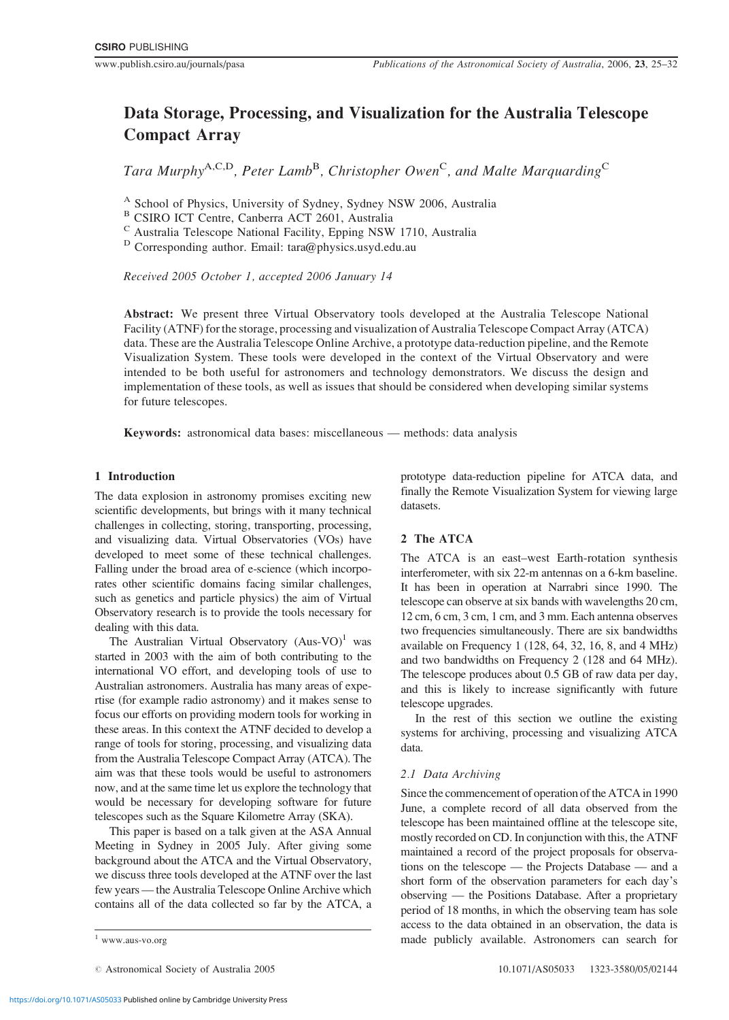# Data Storage, Processing, and Visualization for the Australia Telescope Compact Array

Tara Murphy<sup>A,C,D</sup>, Peter Lamb<sup>B</sup>, Christopher Owen<sup>C</sup>, and Malte Marquarding<sup>C</sup>

<sup>A</sup> School of Physics, University of Sydney, Sydney NSW 2006, Australia B CSIRO ICT Centre, Canberra ACT 2601, Australia

<sup>C</sup> Australia Telescope National Facility, Epping NSW 1710, Australia <sup>D</sup> Corresponding author. Email: tara@physics.usyd.edu.au

Received 2005 October 1, accepted 2006 January 14

Abstract: We present three Virtual Observatory tools developed at the Australia Telescope National Facility (ATNF) for the storage, processing and visualization of Australia Telescope Compact Array (ATCA) data. These are the Australia Telescope Online Archive, a prototype data-reduction pipeline, and the Remote Visualization System. These tools were developed in the context of the Virtual Observatory and were intended to be both useful for astronomers and technology demonstrators. We discuss the design and implementation of these tools, as well as issues that should be considered when developing similar systems for future telescopes.

Keywords: astronomical data bases: miscellaneous — methods: data analysis

## 1 Introduction

The data explosion in astronomy promises exciting new scientific developments, but brings with it many technical challenges in collecting, storing, transporting, processing, and visualizing data. Virtual Observatories (VOs) have developed to meet some of these technical challenges. Falling under the broad area of e-science (which incorporates other scientific domains facing similar challenges, such as genetics and particle physics) the aim of Virtual Observatory research is to provide the tools necessary for dealing with this data.

The Australian Virtual Observatory  $(Aus-VO)^{1}$  was started in 2003 with the aim of both contributing to the international VO effort, and developing tools of use to Australian astronomers. Australia has many areas of expertise (for example radio astronomy) and it makes sense to focus our efforts on providing modern tools for working in these areas. In this context the ATNF decided to develop a range of tools for storing, processing, and visualizing data from the Australia Telescope Compact Array (ATCA). The aim was that these tools would be useful to astronomers now, and at the same time let us explore the technology that would be necessary for developing software for future telescopes such as the Square Kilometre Array (SKA).

This paper is based on a talk given at the ASA Annual Meeting in Sydney in 2005 July. After giving some background about the ATCA and the Virtual Observatory, we discuss three tools developed at the ATNF over the last few years — the Australia Telescope Online Archive which contains all of the data collected so far by the ATCA, a

# Astronomical Society of Australia 2005 10.1071/AS05033 1323-3580/05/02144

prototype data-reduction pipeline for ATCA data, and finally the Remote Visualization System for viewing large datasets.

# 2 The ATCA

The ATCA is an east–west Earth-rotation synthesis interferometer, with six 22-m antennas on a 6-km baseline. It has been in operation at Narrabri since 1990. The telescope can observe at six bands with wavelengths 20 cm, 12 cm, 6 cm, 3 cm, 1 cm, and 3 mm. Each antenna observes two frequencies simultaneously. There are six bandwidths available on Frequency 1 (128, 64, 32, 16, 8, and 4 MHz) and two bandwidths on Frequency 2 (128 and 64 MHz). The telescope produces about 0.5 GB of raw data per day, and this is likely to increase significantly with future telescope upgrades.

In the rest of this section we outline the existing systems for archiving, processing and visualizing ATCA data.

# 2.1 Data Archiving

Since the commencement of operation of the ATCA in 1990 June, a complete record of all data observed from the telescope has been maintained offline at the telescope site, mostly recorded on CD. In conjunction with this, the ATNF maintained a record of the project proposals for observations on the telescope — the Projects Database — and a short form of the observation parameters for each day's observing — the Positions Database. After a proprietary period of 18 months, in which the observing team has sole access to the data obtained in an observation, the data is <sup>1</sup> www.aus-vo.org made publicly available. Astronomers can search for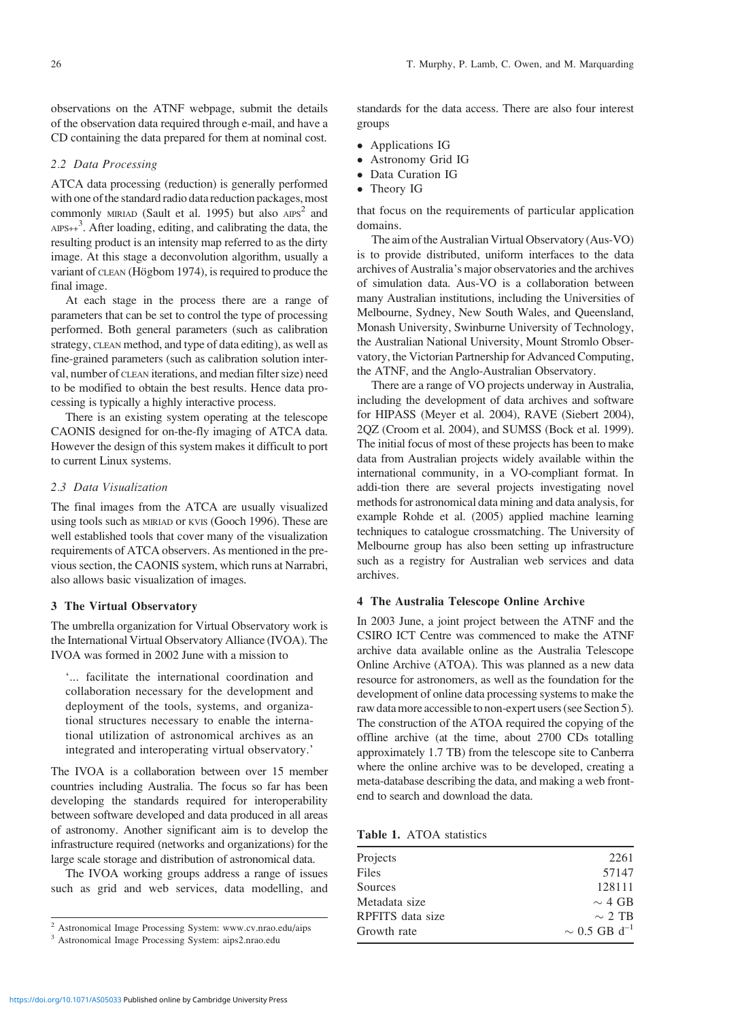observations on the ATNF webpage, submit the details of the observation data required through e-mail, and have a CD containing the data prepared for them at nominal cost.

# 2.2 Data Processing

ATCA data processing (reduction) is generally performed with one of the standard radio data reduction packages, most commonly MIRIAD (Sault et al. 1995) but also  $AIPS<sup>2</sup>$  and  $APS++$ <sup>3</sup>. After loading, editing, and calibrating the data, the resulting product is an intensity map referred to as the dirty image. At this stage a deconvolution algorithm, usually a variant of CLEAN (Högbom 1974), is required to produce the final image.

At each stage in the process there are a range of parameters that can be set to control the type of processing performed. Both general parameters (such as calibration strategy, CLEAN method, and type of data editing), as well as fine-grained parameters (such as calibration solution interval, number of CLEAN iterations, and median filter size) need to be modified to obtain the best results. Hence data processing is typically a highly interactive process.

There is an existing system operating at the telescope CAONIS designed for on-the-fly imaging of ATCA data. However the design of this system makes it difficult to port to current Linux systems.

#### 2.3 Data Visualization

The final images from the ATCA are usually visualized using tools such as MIRIAD or KVIS (Gooch 1996). These are well established tools that cover many of the visualization requirements of ATCA observers. As mentioned in the previous section, the CAONIS system, which runs at Narrabri, also allows basic visualization of images.

#### 3 The Virtual Observatory

The umbrella organization for Virtual Observatory work is the International Virtual Observatory Alliance (IVOA). The IVOA was formed in 2002 June with a mission to

'... facilitate the international coordination and collaboration necessary for the development and deployment of the tools, systems, and organizational structures necessary to enable the international utilization of astronomical archives as an integrated and interoperating virtual observatory.'

The IVOA is a collaboration between over 15 member countries including Australia. The focus so far has been developing the standards required for interoperability between software developed and data produced in all areas of astronomy. Another significant aim is to develop the infrastructure required (networks and organizations) for the large scale storage and distribution of astronomical data.

The IVOA working groups address a range of issues such as grid and web services, data modelling, and standards for the data access. There are also four interest groups

- Applications IG
- Astronomy Grid IG
- Data Curation IG
- $\bullet$ Theory IG

that focus on the requirements of particular application domains.

The aim of the Australian Virtual Observatory (Aus-VO) is to provide distributed, uniform interfaces to the data archives of Australia's major observatories and the archives of simulation data. Aus-VO is a collaboration between many Australian institutions, including the Universities of Melbourne, Sydney, New South Wales, and Queensland, Monash University, Swinburne University of Technology, the Australian National University, Mount Stromlo Observatory, the Victorian Partnership for Advanced Computing, the ATNF, and the Anglo-Australian Observatory.

There are a range of VO projects underway in Australia, including the development of data archives and software for HIPASS (Meyer et al. 2004), RAVE (Siebert 2004), 2QZ (Croom et al. 2004), and SUMSS (Bock et al. 1999). The initial focus of most of these projects has been to make data from Australian projects widely available within the international community, in a VO-compliant format. In addi-tion there are several projects investigating novel methods for astronomical data mining and data analysis, for example Rohde et al. (2005) applied machine learning techniques to catalogue crossmatching. The University of Melbourne group has also been setting up infrastructure such as a registry for Australian web services and data archives.

# 4 The Australia Telescope Online Archive

In 2003 June, a joint project between the ATNF and the CSIRO ICT Centre was commenced to make the ATNF archive data available online as the Australia Telescope Online Archive (ATOA). This was planned as a new data resource for astronomers, as well as the foundation for the development of online data processing systems to make the raw data more accessible to non-expert users (see Section 5). The construction of the ATOA required the copying of the offline archive (at the time, about 2700 CDs totalling approximately 1.7 TB) from the telescope site to Canberra where the online archive was to be developed, creating a meta-database describing the data, and making a web frontend to search and download the data.

| <b>Table 1.</b> ATOA statistics |  |
|---------------------------------|--|
|---------------------------------|--|

| Projects         | 2261                          |
|------------------|-------------------------------|
| Files            | 57147                         |
| Sources          | 128111                        |
| Metadata size    | $\sim$ 4 GB                   |
| RPFITS data size | $\sim$ 2 TB                   |
| Growth rate      | $\sim$ 0.5 GB d <sup>-1</sup> |
|                  |                               |

 $2$  Astronomical Image Processing System: www.cv.nrao.edu/aips

<sup>3</sup> Astronomical Image Processing System: aips2.nrao.edu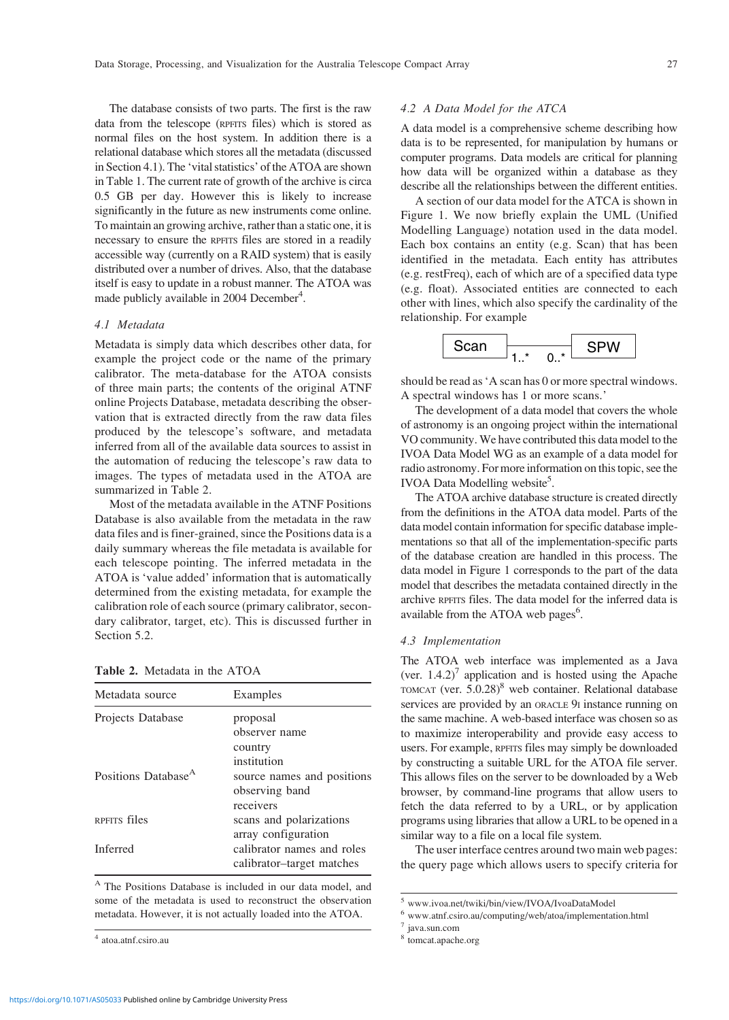The database consists of two parts. The first is the raw data from the telescope (RPFITS files) which is stored as normal files on the host system. In addition there is a relational database which stores all the metadata (discussed in Section 4.1). The 'vital statistics' of the ATOA are shown in Table 1. The current rate of growth of the archive is circa 0.5 GB per day. However this is likely to increase significantly in the future as new instruments come online. To maintain an growing archive, rather than a static one, it is necessary to ensure the RPFITS files are stored in a readily accessible way (currently on a RAID system) that is easily distributed over a number of drives. Also, that the database itself is easy to update in a robust manner. The ATOA was made publicly available in 2004 December<sup>4</sup>.

## 4.1 Metadata

Metadata is simply data which describes other data, for example the project code or the name of the primary calibrator. The meta-database for the ATOA consists of three main parts; the contents of the original ATNF online Projects Database, metadata describing the observation that is extracted directly from the raw data files produced by the telescope's software, and metadata inferred from all of the available data sources to assist in the automation of reducing the telescope's raw data to images. The types of metadata used in the ATOA are summarized in Table 2.

Most of the metadata available in the ATNF Positions Database is also available from the metadata in the raw data files and is finer-grained, since the Positions data is a daily summary whereas the file metadata is available for each telescope pointing. The inferred metadata in the ATOA is 'value added' information that is automatically determined from the existing metadata, for example the calibration role of each source (primary calibrator, secondary calibrator, target, etc). This is discussed further in Section 5.2.

| Metadata source                 | Examples                                                                 |
|---------------------------------|--------------------------------------------------------------------------|
| Projects Database               | proposal<br>observer name<br>country                                     |
| Positions Database <sup>A</sup> | institution<br>source names and positions<br>observing band<br>receivers |
| RPFITS files                    | scans and polarizations<br>array configuration                           |
| <b>Inferred</b>                 | calibrator names and roles<br>calibrator-target matches                  |

Table 2. Metadata in the ATOA

<sup>A</sup> The Positions Database is included in our data model, and some of the metadata is used to reconstruct the observation metadata. However, it is not actually loaded into the ATOA.

# 4.2 A Data Model for the ATCA

A data model is a comprehensive scheme describing how data is to be represented, for manipulation by humans or computer programs. Data models are critical for planning how data will be organized within a database as they describe all the relationships between the different entities.

A section of our data model for the ATCA is shown in Figure 1. We now briefly explain the UML (Unified Modelling Language) notation used in the data model. Each box contains an entity (e.g. Scan) that has been identified in the metadata. Each entity has attributes (e.g. restFreq), each of which are of a specified data type (e.g. float). Associated entities are connected to each other with lines, which also specify the cardinality of the relationship. For example



should be read as 'A scan has 0 or more spectral windows. A spectral windows has 1 or more scans.'

The development of a data model that covers the whole of astronomy is an ongoing project within the international VO community. We have contributed this data model to the IVOA Data Model WG as an example of a data model for radio astronomy. For more information on this topic, see the IVOA Data Modelling website<sup>5</sup>.

The ATOA archive database structure is created directly from the definitions in the ATOA data model. Parts of the data model contain information for specific database implementations so that all of the implementation-specific parts of the database creation are handled in this process. The data model in Figure 1 corresponds to the part of the data model that describes the metadata contained directly in the archive RPFITS files. The data model for the inferred data is available from the ATOA web pages $<sup>6</sup>$ .</sup>

## 4.3 Implementation

The ATOA web interface was implemented as a Java (ver.  $1.4.2$ )<sup>7</sup> application and is hosted using the Apache TOMCAT (ver.  $5.0.28$ )<sup>8</sup> web container. Relational database services are provided by an ORACLE 9I instance running on the same machine. A web-based interface was chosen so as to maximize interoperability and provide easy access to users. For example, RPFITS files may simply be downloaded by constructing a suitable URL for the ATOA file server. This allows files on the server to be downloaded by a Web browser, by command-line programs that allow users to fetch the data referred to by a URL, or by application programs using libraries that allow a URL to be opened in a similar way to a file on a local file system.

The user interface centres around two main web pages: the query page which allows users to specify criteria for

<sup>4</sup> atoa.atnf.csiro.au

<sup>5</sup> www.ivoa.net/twiki/bin/view/IVOA/IvoaDataModel

 $^6$ www.atnf.csiro.au/computing/web/atoa/implementation.html

<sup>7</sup> java.sun.com

<sup>8</sup> tomcat.apache.org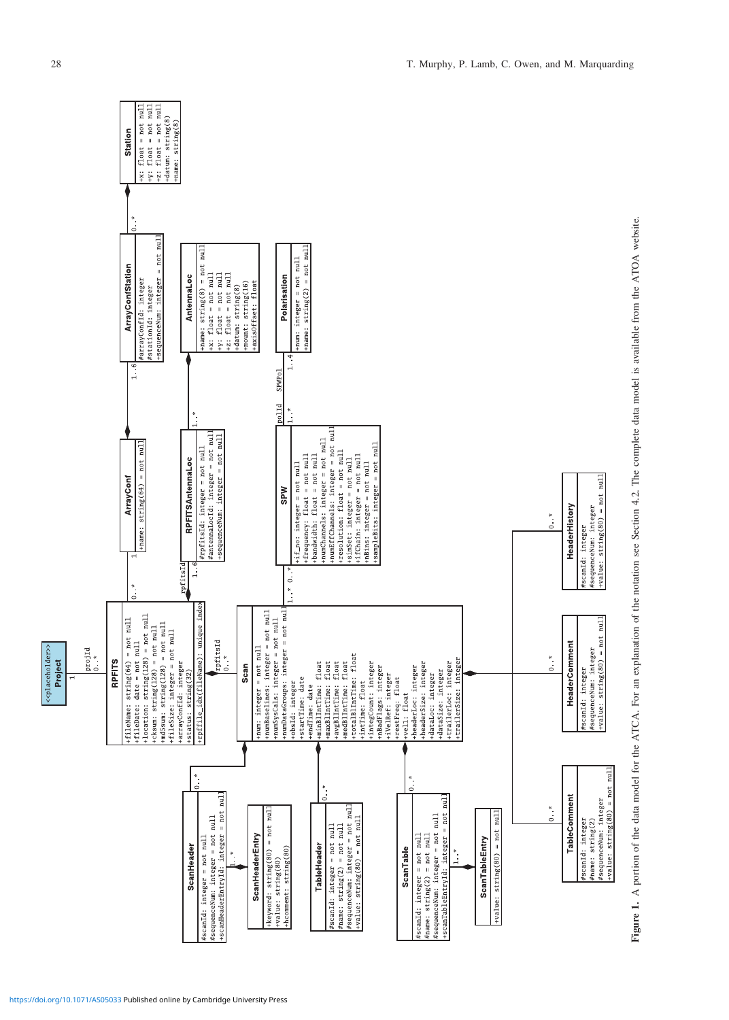



<placeholder>

Project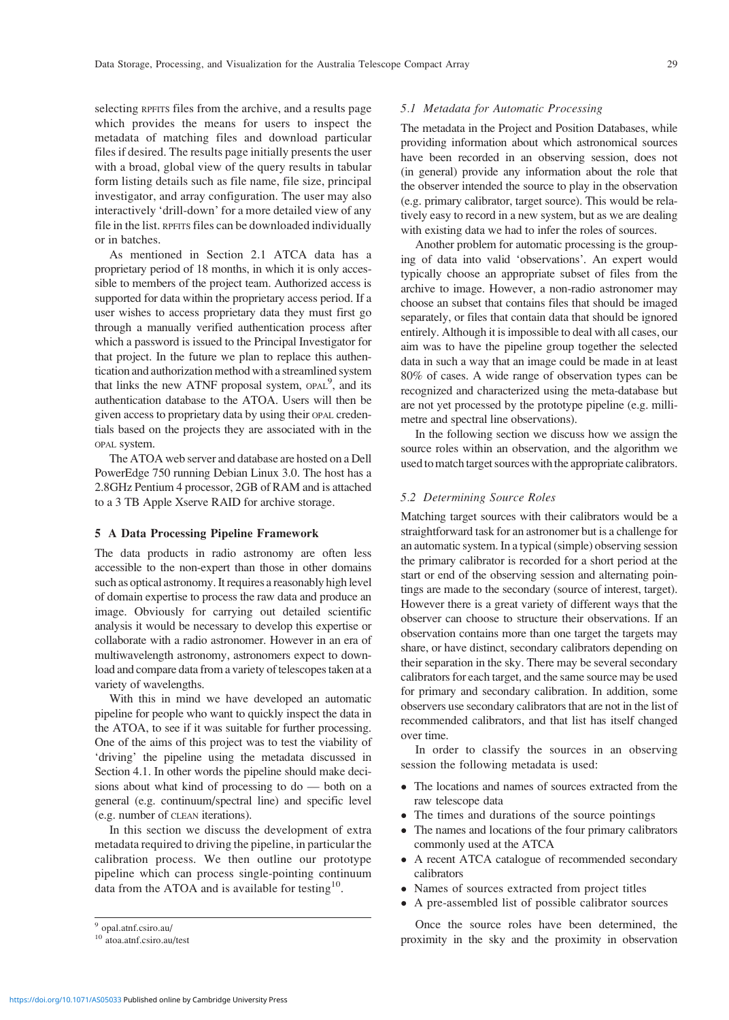selecting RPFITS files from the archive, and a results page which provides the means for users to inspect the metadata of matching files and download particular files if desired. The results page initially presents the user with a broad, global view of the query results in tabular form listing details such as file name, file size, principal investigator, and array configuration. The user may also interactively 'drill-down' for a more detailed view of any file in the list. RPFITS files can be downloaded individually or in batches.

As mentioned in Section 2.1 ATCA data has a proprietary period of 18 months, in which it is only accessible to members of the project team. Authorized access is supported for data within the proprietary access period. If a user wishes to access proprietary data they must first go through a manually verified authentication process after which a password is issued to the Principal Investigator for that project. In the future we plan to replace this authentication and authorization method with a streamlined system that links the new ATNF proposal system, opal, and its authentication database to the ATOA. Users will then be given access to proprietary data by using their OPAL credentials based on the projects they are associated with in the OPAL system.

The ATOA web server and database are hosted on a Dell PowerEdge 750 running Debian Linux 3.0. The host has a 2.8GHz Pentium 4 processor, 2GB of RAM and is attached to a 3 TB Apple Xserve RAID for archive storage.

#### 5 A Data Processing Pipeline Framework

The data products in radio astronomy are often less accessible to the non-expert than those in other domains such as optical astronomy. It requires a reasonably high level of domain expertise to process the raw data and produce an image. Obviously for carrying out detailed scientific analysis it would be necessary to develop this expertise or collaborate with a radio astronomer. However in an era of multiwavelength astronomy, astronomers expect to download and compare data from a variety of telescopes taken at a variety of wavelengths.

With this in mind we have developed an automatic pipeline for people who want to quickly inspect the data in the ATOA, to see if it was suitable for further processing. One of the aims of this project was to test the viability of 'driving' the pipeline using the metadata discussed in Section 4.1. In other words the pipeline should make decisions about what kind of processing to do — both on a general (e.g. continuum/spectral line) and specific level (e.g. number of CLEAN iterations).

In this section we discuss the development of extra metadata required to driving the pipeline, in particular the calibration process. We then outline our prototype pipeline which can process single-pointing continuum data from the ATOA and is available for testing $10$ .

## 5.1 Metadata for Automatic Processing

The metadata in the Project and Position Databases, while providing information about which astronomical sources have been recorded in an observing session, does not (in general) provide any information about the role that the observer intended the source to play in the observation (e.g. primary calibrator, target source). This would be relatively easy to record in a new system, but as we are dealing with existing data we had to infer the roles of sources.

Another problem for automatic processing is the grouping of data into valid 'observations'. An expert would typically choose an appropriate subset of files from the archive to image. However, a non-radio astronomer may choose an subset that contains files that should be imaged separately, or files that contain data that should be ignored entirely. Although it is impossible to deal with all cases, our aim was to have the pipeline group together the selected data in such a way that an image could be made in at least 80% of cases. A wide range of observation types can be recognized and characterized using the meta-database but are not yet processed by the prototype pipeline (e.g. millimetre and spectral line observations).

In the following section we discuss how we assign the source roles within an observation, and the algorithm we used to match target sources with the appropriate calibrators.

# 5.2 Determining Source Roles

Matching target sources with their calibrators would be a straightforward task for an astronomer but is a challenge for an automatic system. In a typical (simple) observing session the primary calibrator is recorded for a short period at the start or end of the observing session and alternating pointings are made to the secondary (source of interest, target). However there is a great variety of different ways that the observer can choose to structure their observations. If an observation contains more than one target the targets may share, or have distinct, secondary calibrators depending on their separation in the sky. There may be several secondary calibrators for each target, and the same source may be used for primary and secondary calibration. In addition, some observers use secondary calibrators that are not in the list of recommended calibrators, and that list has itself changed over time.

In order to classify the sources in an observing session the following metadata is used:

- The locations and names of sources extracted from the raw telescope data
- $\bullet$ The times and durations of the source pointings
- $\bullet$  The names and locations of the four primary calibrators commonly used at the ATCA
- A recent ATCA catalogue of recommended secondary calibrators
- Names of sources extracted from project titles
- A pre-assembled list of possible calibrator sources

Once the source roles have been determined, the proximity in the sky and the proximity in observation

<sup>9</sup> opal.atnf.csiro.au/

<sup>10</sup> atoa.atnf.csiro.au/test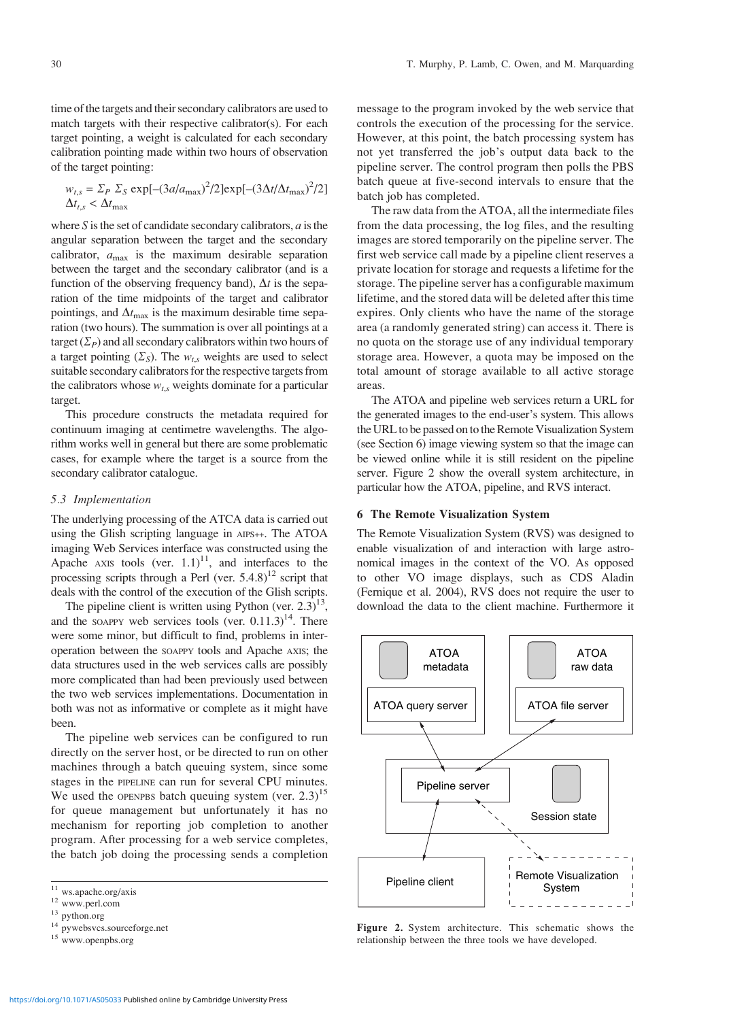time of the targets and their secondary calibrators are used to match targets with their respective calibrator(s). For each target pointing, a weight is calculated for each secondary calibration pointing made within two hours of observation of the target pointing:

$$
w_{t,s} = \sum_{P} \sum_{S} \exp[-(3a/a_{\text{max}})^{2}/2] \exp[-(3\Delta t/\Delta t_{\text{max}})^{2}/2]
$$
  

$$
\Delta t_{t,s} < \Delta t_{\text{max}}
$$

where  $S$  is the set of candidate secondary calibrators,  $a$  is the angular separation between the target and the secondary calibrator,  $a_{\text{max}}$  is the maximum desirable separation between the target and the secondary calibrator (and is a function of the observing frequency band),  $\Delta t$  is the separation of the time midpoints of the target and calibrator pointings, and  $\Delta t_{\text{max}}$  is the maximum desirable time separation (two hours). The summation is over all pointings at a target  $(\Sigma_P)$  and all secondary calibrators within two hours of a target pointing  $(\Sigma_s)$ . The  $w_{t,s}$  weights are used to select suitable secondary calibrators for the respective targets from the calibrators whose  $w_{ts}$  weights dominate for a particular target.

This procedure constructs the metadata required for continuum imaging at centimetre wavelengths. The algorithm works well in general but there are some problematic cases, for example where the target is a source from the secondary calibrator catalogue.

#### 5.3 Implementation

The underlying processing of the ATCA data is carried out using the Glish scripting language in AIPS++. The ATOA imaging Web Services interface was constructed using the Apache AXIS tools (ver.  $1.1$ )<sup>11</sup>, and interfaces to the processing scripts through a Perl (ver.  $5.4.8$ )<sup>12</sup> script that deals with the control of the execution of the Glish scripts.

The pipeline client is written using Python (ver.  $2.3$ )<sup>13</sup>, and the SOAPPY web services tools (ver.  $0.11.3$ )<sup>14</sup>. There were some minor, but difficult to find, problems in interoperation between the SOAPPY tools and Apache AXIS; the data structures used in the web services calls are possibly more complicated than had been previously used between the two web services implementations. Documentation in both was not as informative or complete as it might have been.

The pipeline web services can be configured to run directly on the server host, or be directed to run on other machines through a batch queuing system, since some stages in the PIPELINE can run for several CPU minutes. We used the OPENPBS batch queuing system (ver.  $2.3$ )<sup>15</sup> for queue management but unfortunately it has no mechanism for reporting job completion to another program. After processing for a web service completes, the batch job doing the processing sends a completion message to the program invoked by the web service that controls the execution of the processing for the service. However, at this point, the batch processing system has not yet transferred the job's output data back to the pipeline server. The control program then polls the PBS batch queue at five-second intervals to ensure that the batch job has completed.

The raw data from the ATOA, all the intermediate files from the data processing, the log files, and the resulting images are stored temporarily on the pipeline server. The first web service call made by a pipeline client reserves a private location for storage and requests a lifetime for the storage. The pipeline server has a configurable maximum lifetime, and the stored data will be deleted after this time expires. Only clients who have the name of the storage area (a randomly generated string) can access it. There is no quota on the storage use of any individual temporary storage area. However, a quota may be imposed on the total amount of storage available to all active storage areas.

The ATOA and pipeline web services return a URL for the generated images to the end-user's system. This allows the URL to be passed on to the Remote Visualization System (see Section 6) image viewing system so that the image can be viewed online while it is still resident on the pipeline server. Figure 2 show the overall system architecture, in particular how the ATOA, pipeline, and RVS interact.

## 6 The Remote Visualization System

The Remote Visualization System (RVS) was designed to enable visualization of and interaction with large astronomical images in the context of the VO. As opposed to other VO image displays, such as CDS Aladin (Fernique et al. 2004), RVS does not require the user to download the data to the client machine. Furthermore it



Figure 2. System architecture. This schematic shows the relationship between the three tools we have developed.

 $\frac{11}{12}$  ws.apache.org/axis

 $13 \text{ python.org}$ <br> $14 \text{ pywebsvcs}.\text{sourceforge.net}$ 

<sup>&</sup>lt;sup>15</sup> www.openpbs.org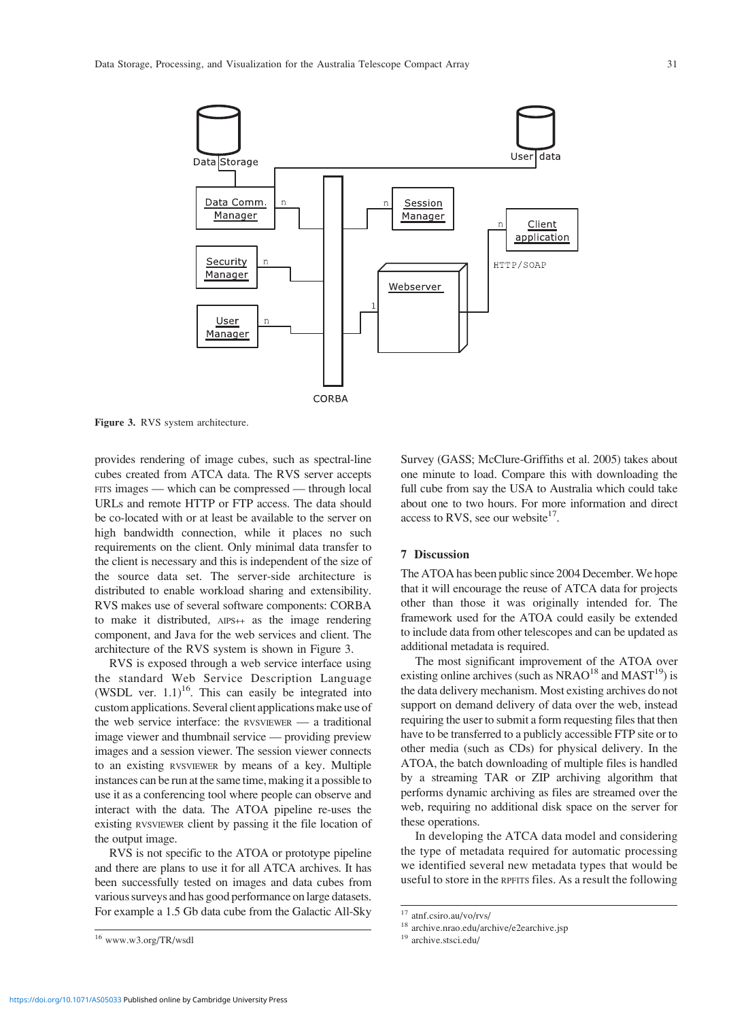

Figure 3. RVS system architecture.

provides rendering of image cubes, such as spectral-line cubes created from ATCA data. The RVS server accepts FITS images — which can be compressed — through local URLs and remote HTTP or FTP access. The data should be co-located with or at least be available to the server on high bandwidth connection, while it places no such requirements on the client. Only minimal data transfer to the client is necessary and this is independent of the size of the source data set. The server-side architecture is distributed to enable workload sharing and extensibility. RVS makes use of several software components: CORBA to make it distributed, AIPS++ as the image rendering component, and Java for the web services and client. The architecture of the RVS system is shown in Figure 3.

RVS is exposed through a web service interface using the standard Web Service Description Language (WSDL ver.  $1.1$ )<sup>16</sup>. This can easily be integrated into custom applications. Several client applications make use of the web service interface: the RVSVIEWER — a traditional image viewer and thumbnail service — providing preview images and a session viewer. The session viewer connects to an existing RVSVIEWER by means of a key. Multiple instances can be run at the same time, making it a possible to use it as a conferencing tool where people can observe and interact with the data. The ATOA pipeline re-uses the existing RVSVIEWER client by passing it the file location of the output image.

RVS is not specific to the ATOA or prototype pipeline and there are plans to use it for all ATCA archives. It has been successfully tested on images and data cubes from various surveys and has good performance on large datasets. For example a 1.5 Gb data cube from the Galactic All-Sky

Survey (GASS; McClure-Griffiths et al. 2005) takes about one minute to load. Compare this with downloading the full cube from say the USA to Australia which could take about one to two hours. For more information and direct access to RVS, see our website $^{17}$ .

# 7 Discussion

The ATOA has been public since 2004 December. We hope that it will encourage the reuse of ATCA data for projects other than those it was originally intended for. The framework used for the ATOA could easily be extended to include data from other telescopes and can be updated as additional metadata is required.

The most significant improvement of the ATOA over existing online archives (such as  $NRAO<sup>18</sup>$  and  $MAST<sup>19</sup>$ ) is the data delivery mechanism. Most existing archives do not support on demand delivery of data over the web, instead requiring the user to submit a form requesting files that then have to be transferred to a publicly accessible FTP site or to other media (such as CDs) for physical delivery. In the ATOA, the batch downloading of multiple files is handled by a streaming TAR or ZIP archiving algorithm that performs dynamic archiving as files are streamed over the web, requiring no additional disk space on the server for these operations.

In developing the ATCA data model and considering the type of metadata required for automatic processing we identified several new metadata types that would be useful to store in the RPFITS files. As a result the following

<sup>16</sup> www.w3.org/TR/wsdl

<sup>&</sup>lt;sup>17</sup> atnf.csiro.au/vo/rvs/<br><sup>18</sup> archive.nrao.edu/archive/e2earchive.jsp

<sup>19</sup> archive.stsci.edu/